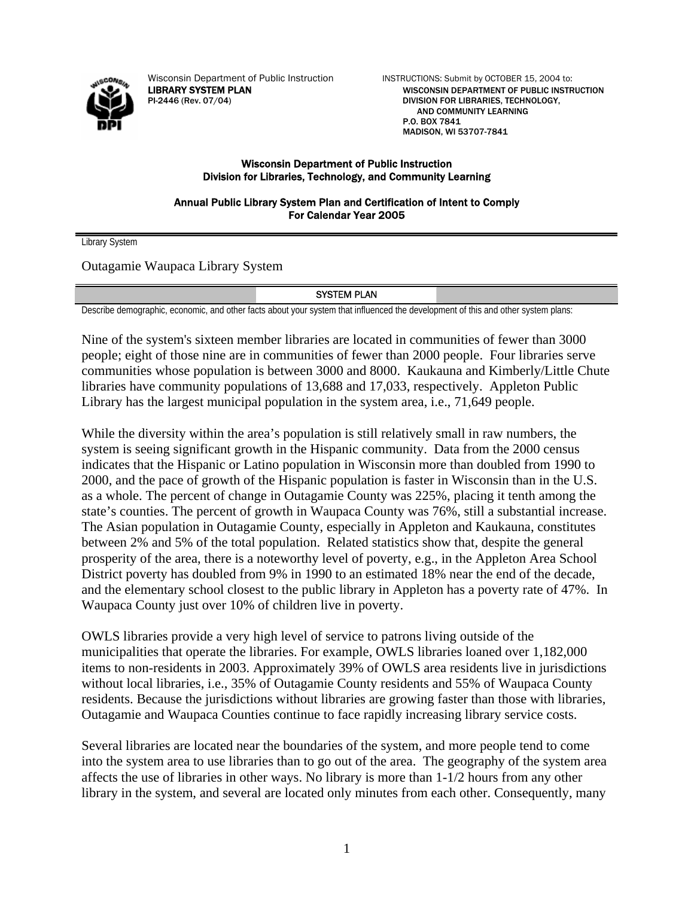

Wisconsin Department of Public Instruction INSTRUCTIONS: Submit by OCTOBER 15, 2004 to:

LIBRARY SYSTEM PLAN WISCONSIN DEPARTMENT OF PUBLIC INSTRUCTION PI-2446 (Rev. 07/04) DIVISION FOR LIBRARIES, TECHNOLOGY, AND COMMUNITY LEARNING P.O. BOX 7841 MADISON, WI 53707-7841

### Wisconsin Department of Public Instruction Division for Libraries, Technology, and Community Learning

Annual Public Library System Plan and Certification of Intent to Comply For Calendar Year 2005

Library System

Outagamie Waupaca Library System

### SYSTEM PLAN

Describe demographic, economic, and other facts about your system that influenced the development of this and other system plans:

Nine of the system's sixteen member libraries are located in communities of fewer than 3000 people; eight of those nine are in communities of fewer than 2000 people. Four libraries serve communities whose population is between 3000 and 8000. Kaukauna and Kimberly/Little Chute libraries have community populations of 13,688 and 17,033, respectively. Appleton Public Library has the largest municipal population in the system area, i.e., 71,649 people.

While the diversity within the area's population is still relatively small in raw numbers, the system is seeing significant growth in the Hispanic community. Data from the 2000 census indicates that the Hispanic or Latino population in Wisconsin more than doubled from 1990 to 2000, and the pace of growth of the Hispanic population is faster in Wisconsin than in the U.S. as a whole. The percent of change in Outagamie County was 225%, placing it tenth among the state's counties. The percent of growth in Waupaca County was 76%, still a substantial increase. The Asian population in Outagamie County, especially in Appleton and Kaukauna, constitutes between 2% and 5% of the total population. Related statistics show that, despite the general prosperity of the area, there is a noteworthy level of poverty, e.g., in the Appleton Area School District poverty has doubled from 9% in 1990 to an estimated 18% near the end of the decade, and the elementary school closest to the public library in Appleton has a poverty rate of 47%. In Waupaca County just over 10% of children live in poverty.

OWLS libraries provide a very high level of service to patrons living outside of the municipalities that operate the libraries. For example, OWLS libraries loaned over 1,182,000 items to non-residents in 2003. Approximately 39% of OWLS area residents live in jurisdictions without local libraries, i.e., 35% of Outagamie County residents and 55% of Waupaca County residents. Because the jurisdictions without libraries are growing faster than those with libraries, Outagamie and Waupaca Counties continue to face rapidly increasing library service costs.

Several libraries are located near the boundaries of the system, and more people tend to come into the system area to use libraries than to go out of the area. The geography of the system area affects the use of libraries in other ways. No library is more than 1-1/2 hours from any other library in the system, and several are located only minutes from each other. Consequently, many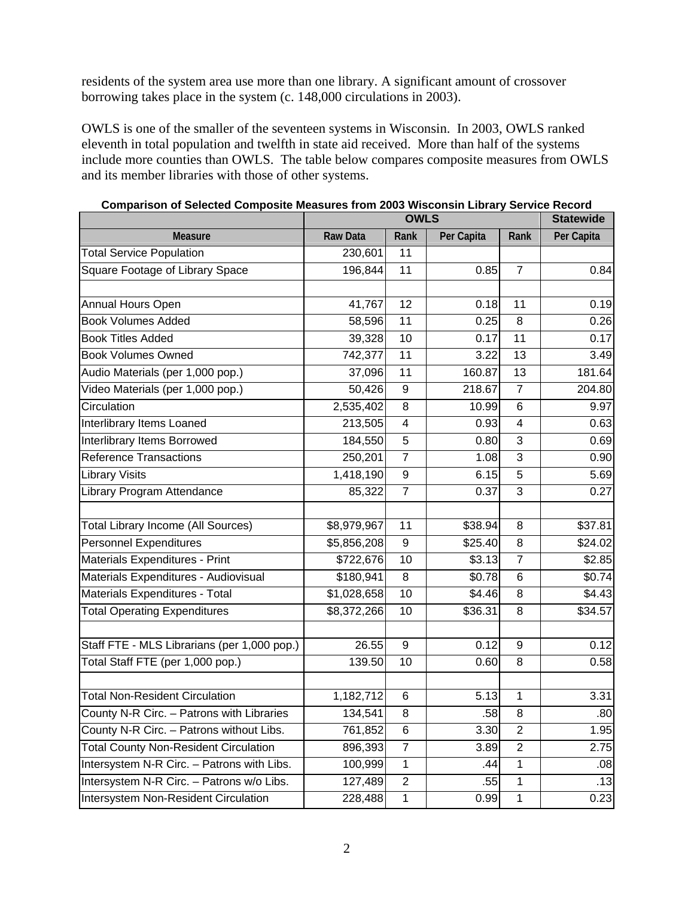residents of the system area use more than one library. A significant amount of crossover borrowing takes place in the system (c. 148,000 circulations in 2003).

OWLS is one of the smaller of the seventeen systems in Wisconsin. In 2003, OWLS ranked eleventh in total population and twelfth in state aid received. More than half of the systems include more counties than OWLS. The table below compares composite measures from OWLS and its member libraries with those of other systems.

|                                              | <b>OWLS</b>     |                 |            |                         | <b>Statewide</b> |
|----------------------------------------------|-----------------|-----------------|------------|-------------------------|------------------|
| <b>Measure</b>                               | <b>Raw Data</b> | Rank            | Per Capita | Rank                    | Per Capita       |
| <b>Total Service Population</b>              | 230,601         | 11              |            |                         |                  |
| Square Footage of Library Space              | 196,844         | 11              | 0.85       | $\overline{7}$          | 0.84             |
|                                              |                 |                 |            |                         |                  |
| Annual Hours Open                            | 41,767          | $\overline{12}$ | 0.18       | 11                      | 0.19             |
| <b>Book Volumes Added</b>                    | 58,596          | 11              | 0.25       | 8                       | 0.26             |
| <b>Book Titles Added</b>                     | 39,328          | $\overline{10}$ | 0.17       | $\overline{11}$         | 0.17             |
| <b>Book Volumes Owned</b>                    | 742,377         | 11              | 3.22       | 13                      | 3.49             |
| Audio Materials (per 1,000 pop.)             | 37,096          | 11              | 160.87     | 13                      | 181.64           |
| Video Materials (per 1,000 pop.)             | 50,426          | 9               | 218.67     | $\overline{7}$          | 204.80           |
| Circulation                                  | 2,535,402       | 8               | 10.99      | $\,6$                   | 9.97             |
| Interlibrary Items Loaned                    | 213,505         | 4               | 0.93       | $\overline{\mathbf{4}}$ | 0.63             |
| Interlibrary Items Borrowed                  | 184,550         | 5               | 0.80       | $\overline{3}$          | 0.69             |
| <b>Reference Transactions</b>                | 250,201         | $\overline{7}$  | 1.08       | $\overline{3}$          | 0.90             |
| <b>Library Visits</b>                        | 1,418,190       | 9               | 6.15       | $\overline{5}$          | 5.69             |
| Library Program Attendance                   | 85,322          | $\overline{7}$  | 0.37       | 3                       | 0.27             |
|                                              |                 |                 |            |                         |                  |
| <b>Total Library Income (All Sources)</b>    | \$8,979,967     | 11              | \$38.94    | 8                       | \$37.81          |
| <b>Personnel Expenditures</b>                | \$5,856,208     | 9               | \$25.40    | 8                       | \$24.02          |
| Materials Expenditures - Print               | \$722,676       | 10              | \$3.13     | $\overline{7}$          | \$2.85           |
| Materials Expenditures - Audiovisual         | \$180,941       | $\overline{8}$  | \$0.78     | 6                       | \$0.74           |
| Materials Expenditures - Total               | \$1,028,658     | 10              | \$4.46     | 8                       | \$4.43           |
| <b>Total Operating Expenditures</b>          | \$8,372,266     | 10              | \$36.31    | 8                       | \$34.57          |
|                                              |                 |                 |            |                         |                  |
| Staff FTE - MLS Librarians (per 1,000 pop.)  | 26.55           | 9               | 0.12       | 9                       | 0.12             |
| Total Staff FTE (per 1,000 pop.)             | 139.50          | 10              | 0.60       | 8                       | 0.58             |
| <b>Total Non-Resident Circulation</b>        | 1,182,712       | 6               | 5.13       | 1                       | 3.31             |
| County N-R Circ. - Patrons with Libraries    | 134,541         | $\overline{8}$  | .58        | 8                       | .80              |
| County N-R Circ. - Patrons without Libs.     | 761,852         | 6               | 3.30       | $\overline{2}$          | 1.95             |
| <b>Total County Non-Resident Circulation</b> | 896,393         | $\overline{7}$  | 3.89       | $\overline{2}$          | 2.75             |
| Intersystem N-R Circ. - Patrons with Libs.   | 100,999         | 1               | .44        | 1                       | .08              |
| Intersystem N-R Circ. - Patrons w/o Libs.    | 127,489         | $\overline{c}$  | .55        | 1                       | .13              |
| <b>Intersystem Non-Resident Circulation</b>  | 228,488         | 1               | 0.99       | 1                       | 0.23             |

**Comparison of Selected Composite Measures from 2003 Wisconsin Library Service Record**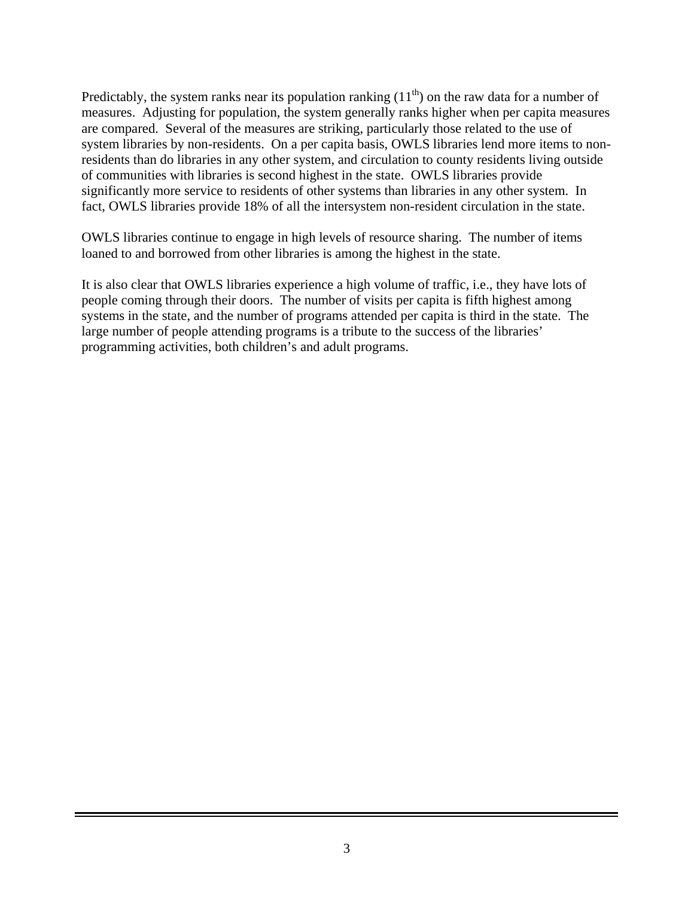Predictably, the system ranks near its population ranking  $(11<sup>th</sup>)$  on the raw data for a number of measures. Adjusting for population, the system generally ranks higher when per capita measures are compared. Several of the measures are striking, particularly those related to the use of system libraries by non-residents. On a per capita basis, OWLS libraries lend more items to nonresidents than do libraries in any other system, and circulation to county residents living outside of communities with libraries is second highest in the state. OWLS libraries provide significantly more service to residents of other systems than libraries in any other system. In fact, OWLS libraries provide 18% of all the intersystem non-resident circulation in the state.

OWLS libraries continue to engage in high levels of resource sharing. The number of items loaned to and borrowed from other libraries is among the highest in the state.

It is also clear that OWLS libraries experience a high volume of traffic, i.e., they have lots of people coming through their doors. The number of visits per capita is fifth highest among systems in the state, and the number of programs attended per capita is third in the state. The large number of people attending programs is a tribute to the success of the libraries' programming activities, both children's and adult programs.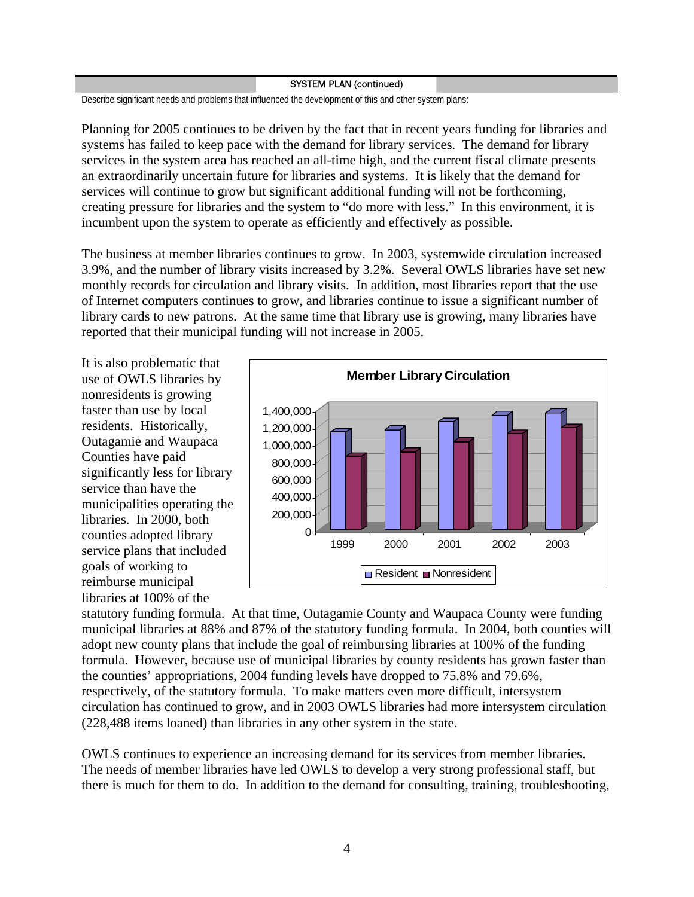### SYSTEM PLAN (continued)

Describe significant needs and problems that influenced the development of this and other system plans:

Planning for 2005 continues to be driven by the fact that in recent years funding for libraries and systems has failed to keep pace with the demand for library services. The demand for library services in the system area has reached an all-time high, and the current fiscal climate presents an extraordinarily uncertain future for libraries and systems. It is likely that the demand for services will continue to grow but significant additional funding will not be forthcoming, creating pressure for libraries and the system to "do more with less." In this environment, it is incumbent upon the system to operate as efficiently and effectively as possible.

The business at member libraries continues to grow. In 2003, systemwide circulation increased 3.9%, and the number of library visits increased by 3.2%. Several OWLS libraries have set new monthly records for circulation and library visits. In addition, most libraries report that the use of Internet computers continues to grow, and libraries continue to issue a significant number of library cards to new patrons. At the same time that library use is growing, many libraries have reported that their municipal funding will not increase in 2005.

It is also problematic that use of OWLS libraries by nonresidents is growing faster than use by local residents. Historically, Outagamie and Waupaca Counties have paid significantly less for library service than have the municipalities operating the libraries. In 2000, both counties adopted library service plans that included goals of working to reimburse municipal libraries at 100% of the



statutory funding formula. At that time, Outagamie County and Waupaca County were funding municipal libraries at 88% and 87% of the statutory funding formula. In 2004, both counties will adopt new county plans that include the goal of reimbursing libraries at 100% of the funding formula. However, because use of municipal libraries by county residents has grown faster than the counties' appropriations, 2004 funding levels have dropped to 75.8% and 79.6%, respectively, of the statutory formula. To make matters even more difficult, intersystem circulation has continued to grow, and in 2003 OWLS libraries had more intersystem circulation (228,488 items loaned) than libraries in any other system in the state.

OWLS continues to experience an increasing demand for its services from member libraries. The needs of member libraries have led OWLS to develop a very strong professional staff, but there is much for them to do. In addition to the demand for consulting, training, troubleshooting,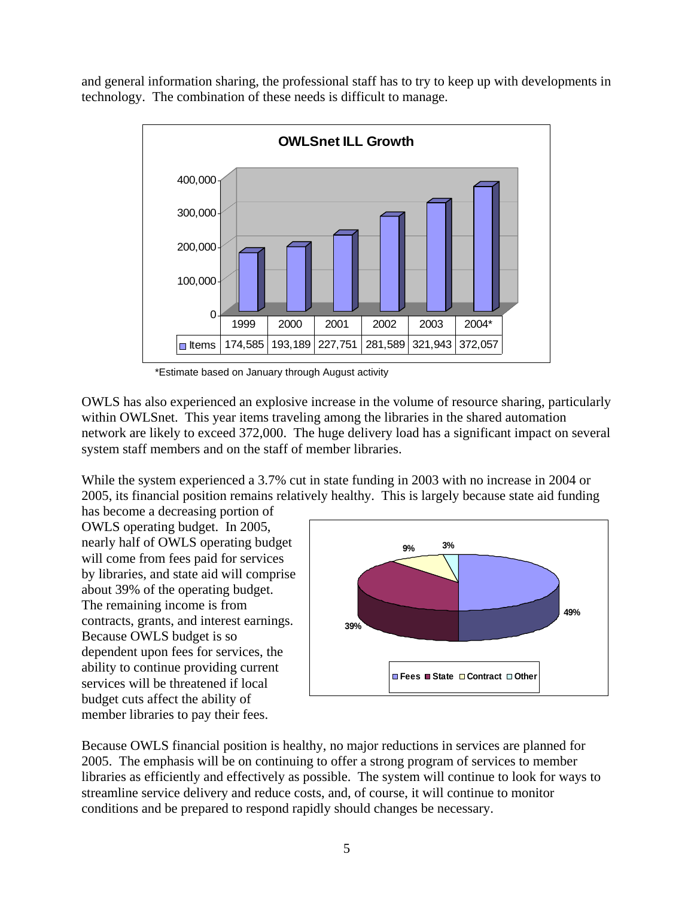and general information sharing, the professional staff has to try to keep up with developments in technology. The combination of these needs is difficult to manage.



\*Estimate based on January through August activity

OWLS has also experienced an explosive increase in the volume of resource sharing, particularly within OWLSnet. This year items traveling among the libraries in the shared automation network are likely to exceed 372,000. The huge delivery load has a significant impact on several system staff members and on the staff of member libraries.

While the system experienced a 3.7% cut in state funding in 2003 with no increase in 2004 or 2005, its financial position remains relatively healthy. This is largely because state aid funding

has become a decreasing portion of OWLS operating budget. In 2005, nearly half of OWLS operating budget will come from fees paid for services by libraries, and state aid will c omprise about 39% of the operating budget. The remaining income is from contracts, grants, and interest earnings. Because OWLS budget is so dependent upon fees for services, the ability to continue providing current services will be threatened if local budget cuts affect the ability of member libraries to pay their fees.



Because OWLS financial position is healthy, no major reductions in services are planned for 2005. The emphasis will be on continuing to offer a strong program of services to member libraries as efficiently and effectively as possible. The system will continue to look for ways to streamline service delivery and reduce costs, and, of course, it will continue to monitor conditions and be prepared to respond rapidly should changes be necessary.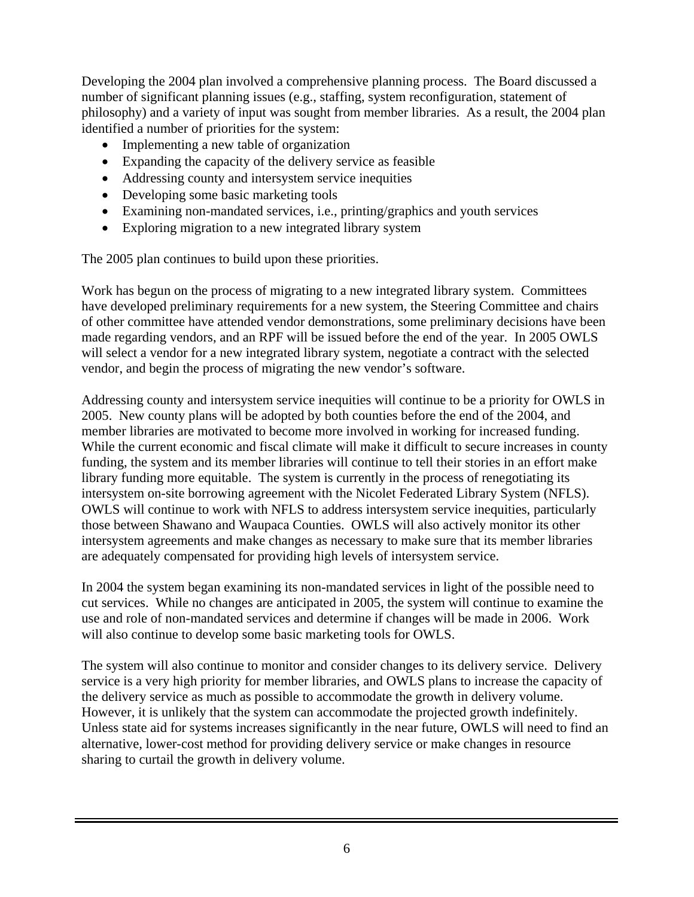Developing the 2004 plan involved a comprehensive planning process. The Board discussed a number of significant planning issues (e.g., staffing, system reconfiguration, statement of philosophy) and a variety of input was sought from member libraries. As a result, the 2004 plan identified a number of priorities for the system:

- Implementing a new table of organization
- Expanding the capacity of the delivery service as feasible
- Addressing county and intersystem service inequities
- Developing some basic marketing tools
- Examining non-mandated services, i.e., printing/graphics and youth services
- Exploring migration to a new integrated library system

The 2005 plan continues to build upon these priorities.

Work has begun on the process of migrating to a new integrated library system. Committees have developed preliminary requirements for a new system, the Steering Committee and chairs of other committee have attended vendor demonstrations, some preliminary decisions have been made regarding vendors, and an RPF will be issued before the end of the year. In 2005 OWLS will select a vendor for a new integrated library system, negotiate a contract with the selected vendor, and begin the process of migrating the new vendor's software.

Addressing county and intersystem service inequities will continue to be a priority for OWLS in 2005. New county plans will be adopted by both counties before the end of the 2004, and member libraries are motivated to become more involved in working for increased funding. While the current economic and fiscal climate will make it difficult to secure increases in county funding, the system and its member libraries will continue to tell their stories in an effort make library funding more equitable. The system is currently in the process of renegotiating its intersystem on-site borrowing agreement with the Nicolet Federated Library System (NFLS). OWLS will continue to work with NFLS to address intersystem service inequities, particularly those between Shawano and Waupaca Counties. OWLS will also actively monitor its other intersystem agreements and make changes as necessary to make sure that its member libraries are adequately compensated for providing high levels of intersystem service.

In 2004 the system began examining its non-mandated services in light of the possible need to cut services. While no changes are anticipated in 2005, the system will continue to examine the use and role of non-mandated services and determine if changes will be made in 2006. Work will also continue to develop some basic marketing tools for OWLS.

The system will also continue to monitor and consider changes to its delivery service. Delivery service is a very high priority for member libraries, and OWLS plans to increase the capacity of the delivery service as much as possible to accommodate the growth in delivery volume. However, it is unlikely that the system can accommodate the projected growth indefinitely. Unless state aid for systems increases significantly in the near future, OWLS will need to find an alternative, lower-cost method for providing delivery service or make changes in resource sharing to curtail the growth in delivery volume.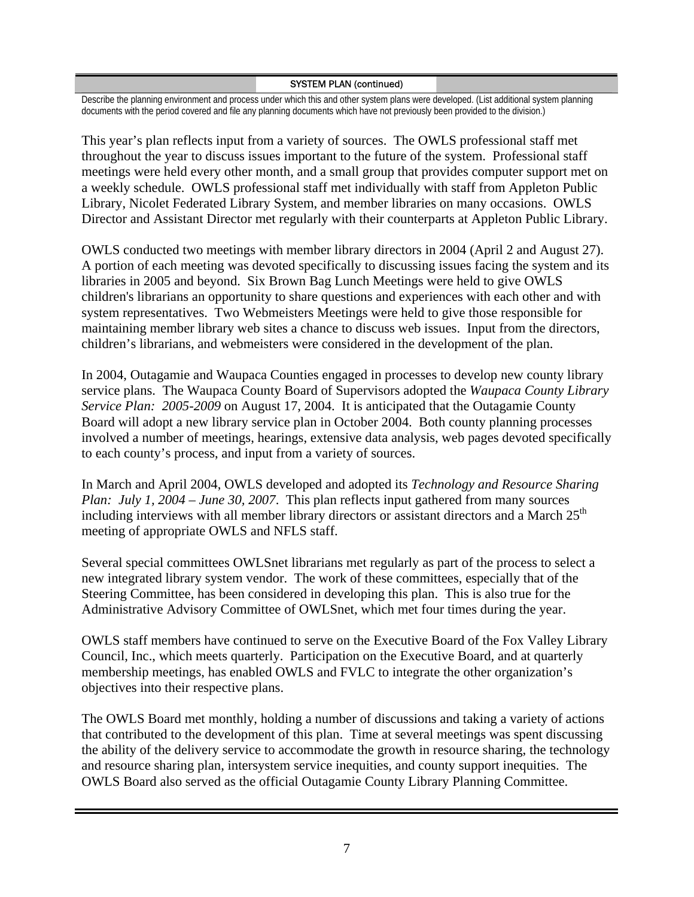## SYSTEM PLAN (continued)

Describe the planning environment and process under which this and other system plans were developed. (List additional system planning documents with the period covered and file any planning documents which have not previously been provided to the division.)

This year's plan reflects input from a variety of sources. The OWLS professional staff met throughout the year to discuss issues important to the future of the system. Professional staff meetings were held every other month, and a small group that provides computer support met on a weekly schedule. OWLS professional staff met individually with staff from Appleton Public Library, Nicolet Federated Library System, and member libraries on many occasions. OWLS Director and Assistant Director met regularly with their counterparts at Appleton Public Library.

OWLS conducted two meetings with member library directors in 2004 (April 2 and August 27). A portion of each meeting was devoted specifically to discussing issues facing the system and its libraries in 2005 and beyond. Six Brown Bag Lunch Meetings were held to give OWLS children's librarians an opportunity to share questions and experiences with each other and with system representatives. Two Webmeisters Meetings were held to give those responsible for maintaining member library web sites a chance to discuss web issues. Input from the directors, children's librarians, and webmeisters were considered in the development of the plan.

In 2004, Outagamie and Waupaca Counties engaged in processes to develop new county library service plans. The Waupaca County Board of Supervisors adopted the *Waupaca County Library Service Plan: 2005-2009* on August 17, 2004. It is anticipated that the Outagamie County Board will adopt a new library service plan in October 2004. Both county planning processes involved a number of meetings, hearings, extensive data analysis, web pages devoted specifically to each county's process, and input from a variety of sources.

In March and April 2004, OWLS developed and adopted its *Technology and Resource Sharing Plan: July 1, 2004 – June 30, 2007*. This plan reflects input gathered from many sources including interviews with all member library directors or assistant directors and a March  $25<sup>th</sup>$ meeting of appropriate OWLS and NFLS staff.

Several special committees OWLSnet librarians met regularly as part of the process to select a new integrated library system vendor. The work of these committees, especially that of the Steering Committee, has been considered in developing this plan. This is also true for the Administrative Advisory Committee of OWLSnet, which met four times during the year.

OWLS staff members have continued to serve on the Executive Board of the Fox Valley Library Council, Inc., which meets quarterly. Participation on the Executive Board, and at quarterly membership meetings, has enabled OWLS and FVLC to integrate the other organization's objectives into their respective plans.

The OWLS Board met monthly, holding a number of discussions and taking a variety of actions that contributed to the development of this plan. Time at several meetings was spent discussing the ability of the delivery service to accommodate the growth in resource sharing, the technology and resource sharing plan, intersystem service inequities, and county support inequities. The OWLS Board also served as the official Outagamie County Library Planning Committee.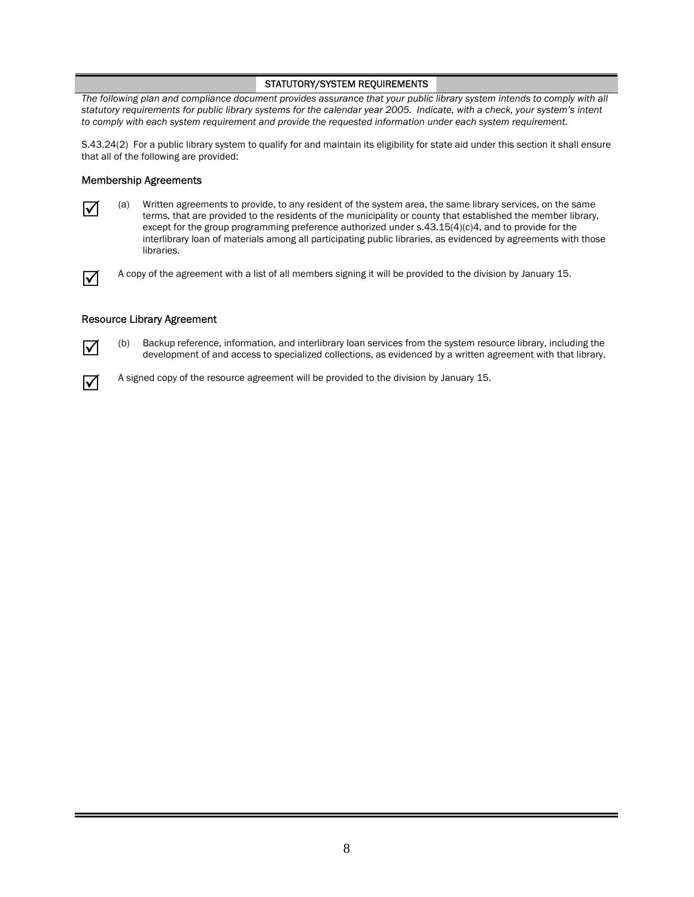The following plan and compliance document provides assurance that your public library system intends to comply with all *statutory requirements for public library systems for the calendar year 2005. Indicate, with a check, your system's intent to comply with each system requirement and provide the requested information under each system requirement.* 

S.43.24(2) For a public library system to qualify for and maintain its eligibility for state aid under this section it shall ensure that all of the following are provided:

### Membership Agreements

|--|

5 (a) Written agreements to provide, to any resident of the system area, the same library services, on the same terms, that are provided to the residents of the municipality or county that established the member library, except for the group programming preference authorized under s.43.15(4)(c)4, and to provide for the interlibrary loan of materials among all participating public libraries, as evidenced by agreements with those libraries.

 $\overline{v}$  A copy of the agreement with a list of all members signing it will be provided to the division by January 15.

#### Resource Library Agreement



(b) Backup reference, information, and interlibrary loan services from the system resource library, including the development of and access to specialized collections, as evidenced by a written agreement with that library.



 $\overline{1}$  A signed copy of the resource agreement will be provided to the division by January 15.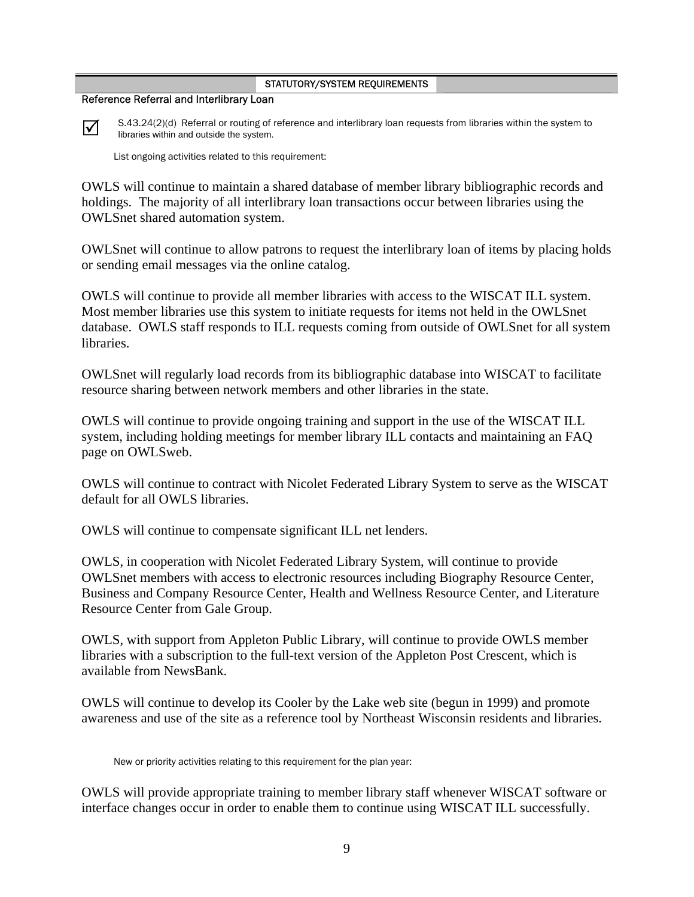### Reference Referral and Interlibrary Loan



 $\overline{\mathcal{A}}$  S.43.24(2)(d) Referral or routing of reference and interlibrary loan requests from libraries within the system to libraries within and outside the system.

List ongoing activities related to this requirement:

OWLS will continue to maintain a shared database of member library bibliographic records and holdings. The majority of all interlibrary loan transactions occur between libraries using the OWLSnet shared automation system.

OWLSnet will continue to allow patrons to request the interlibrary loan of items by placing holds or sending email messages via the online catalog.

OWLS will continue to provide all member libraries with access to the WISCAT ILL system. Most member libraries use this system to initiate requests for items not held in the OWLSnet database. OWLS staff responds to ILL requests coming from outside of OWLSnet for all system libraries.

OWLSnet will regularly load records from its bibliographic database into WISCAT to facilitate resource sharing between network members and other libraries in the state.

OWLS will continue to provide ongoing training and support in the use of the WISCAT ILL system, including holding meetings for member library ILL contacts and maintaining an FAQ page on OWLSweb.

OWLS will continue to contract with Nicolet Federated Library System to serve as the WISCAT default for all OWLS libraries.

OWLS will continue to compensate significant ILL net lenders.

OWLS, in cooperation with Nicolet Federated Library System, will continue to provide OWLSnet members with access to electronic resources including Biography Resource Center, Business and Company Resource Center, Health and Wellness Resource Center, and Literature Resource Center from Gale Group.

OWLS, with support from Appleton Public Library, will continue to provide OWLS member libraries with a subscription to the full-text version of the Appleton Post Crescent, which is available from NewsBank.

OWLS will continue to develop its Cooler by the Lake web site (begun in 1999) and promote awareness and use of the site as a reference tool by Northeast Wisconsin residents and libraries.

New or priority activities relating to this requirement for the plan year:

OWLS will provide appropriate training to member library staff whenever WISCAT software or interface changes occur in order to enable them to continue using WISCAT ILL successfully.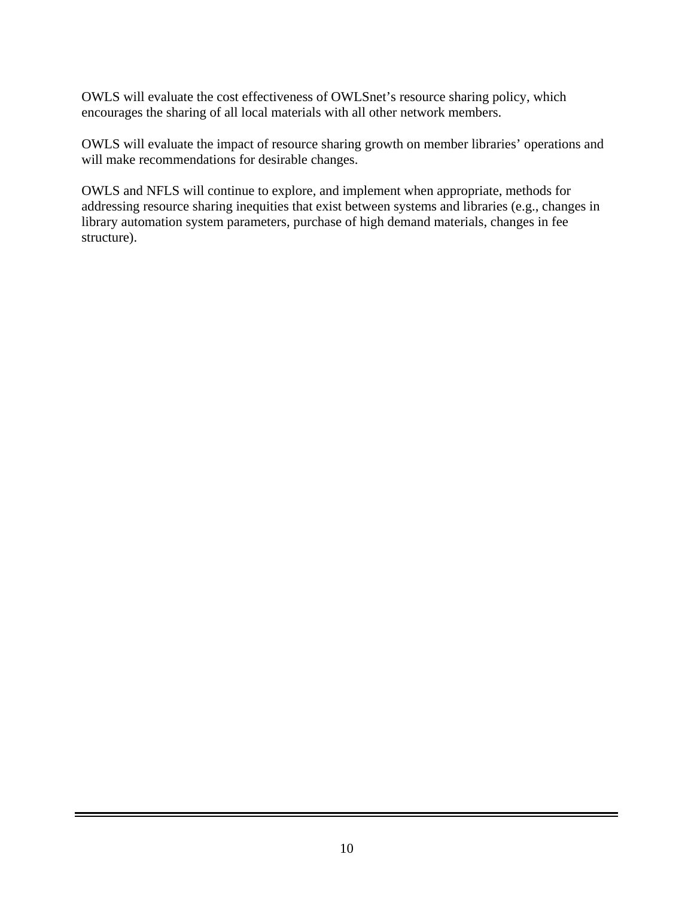OWLS will evaluate the cost effectiveness of OWLSnet's resource sharing policy, which encourages the sharing of all local materials with all other network members.

OWLS will evaluate the impact of resource sharing growth on member libraries' operations and will make recommendations for desirable changes.

OWLS and NFLS will continue to explore, and implement when appropriate, methods for addressing resource sharing inequities that exist between systems and libraries (e.g., changes in library automation system parameters, purchase of high demand materials, changes in fee structure).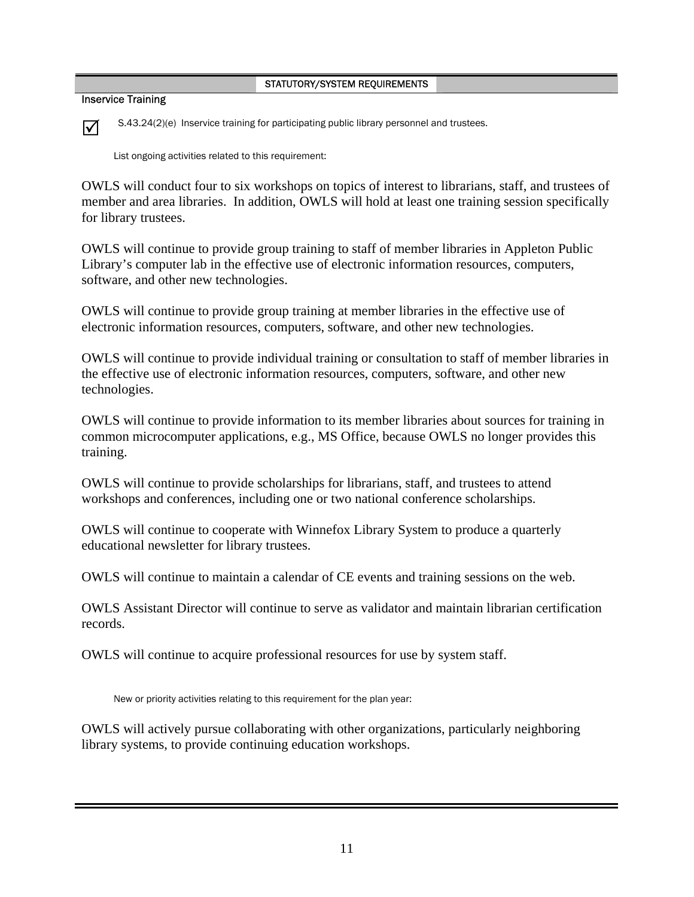Inservice Training

 $\nabla$  S.43.24(2)(e) Inservice training for participating public library personnel and trustees.

List ongoing activities related to this requirement:

OWLS will conduct four to six workshops on topics of interest to librarians, staff, and trustees of member and area libraries. In addition, OWLS will hold at least one training session specifically for library trustees.

OWLS will continue to provide group training to staff of member libraries in Appleton Public Library's computer lab in the effective use of electronic information resources, computers, software, and other new technologies.

OWLS will continue to provide group training at member libraries in the effective use of electronic information resources, computers, software, and other new technologies.

OWLS will continue to provide individual training or consultation to staff of member libraries in the effective use of electronic information resources, computers, software, and other new technologies.

OWLS will continue to provide information to its member libraries about sources for training in common microcomputer applications, e.g., MS Office, because OWLS no longer provides this training.

OWLS will continue to provide scholarships for librarians, staff, and trustees to attend workshops and conferences, including one or two national conference scholarships.

OWLS will continue to cooperate with Winnefox Library System to produce a quarterly educational newsletter for library trustees.

OWLS will continue to maintain a calendar of CE events and training sessions on the web.

OWLS Assistant Director will continue to serve as validator and maintain librarian certification records.

OWLS will continue to acquire professional resources for use by system staff.

New or priority activities relating to this requirement for the plan year:

OWLS will actively pursue collaborating with other organizations, particularly neighboring library systems, to provide continuing education workshops.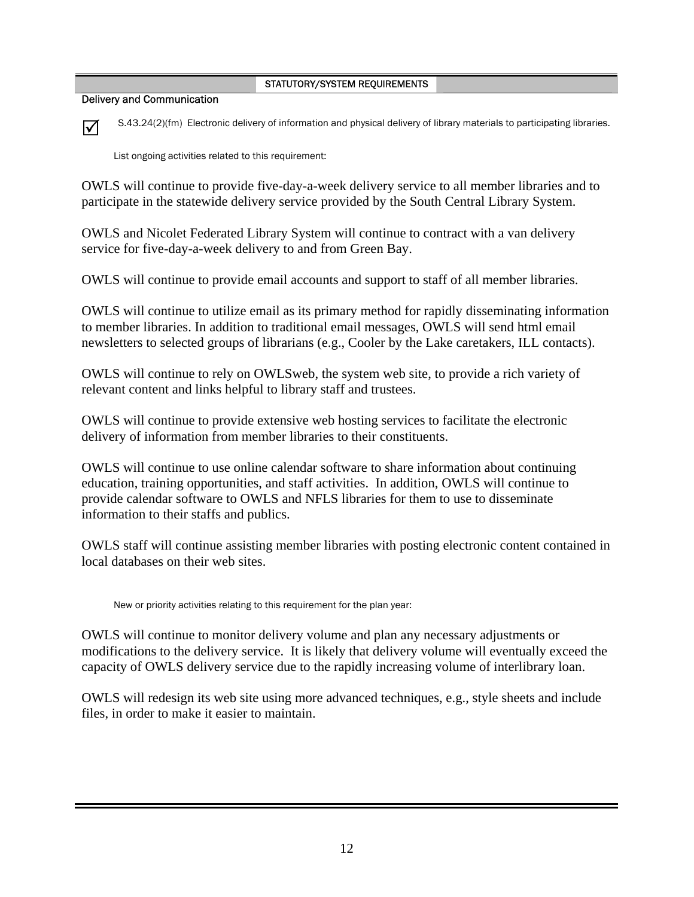Delivery and Communication



 $\nabla$  S.43.24(2)(fm) Electronic delivery of information and physical delivery of library materials to participating libraries.

List ongoing activities related to this requirement:

OWLS will continue to provide five-day-a-week delivery service to all member libraries and to participate in the statewide delivery service provided by the South Central Library System.

OWLS and Nicolet Federated Library System will continue to contract with a van delivery service for five-day-a-week delivery to and from Green Bay.

OWLS will continue to provide email accounts and support to staff of all member libraries.

OWLS will continue to utilize email as its primary method for rapidly disseminating information to member libraries. In addition to traditional email messages, OWLS will send html email newsletters to selected groups of librarians (e.g., Cooler by the Lake caretakers, ILL contacts).

OWLS will continue to rely on OWLSweb, the system web site, to provide a rich variety of relevant content and links helpful to library staff and trustees.

OWLS will continue to provide extensive web hosting services to facilitate the electronic delivery of information from member libraries to their constituents.

OWLS will continue to use online calendar software to share information about continuing education, training opportunities, and staff activities. In addition, OWLS will continue to provide calendar software to OWLS and NFLS libraries for them to use to disseminate information to their staffs and publics.

OWLS staff will continue assisting member libraries with posting electronic content contained in local databases on their web sites.

New or priority activities relating to this requirement for the plan year:

OWLS will continue to monitor delivery volume and plan any necessary adjustments or modifications to the delivery service. It is likely that delivery volume will eventually exceed the capacity of OWLS delivery service due to the rapidly increasing volume of interlibrary loan.

OWLS will redesign its web site using more advanced techniques, e.g., style sheets and include files, in order to make it easier to maintain.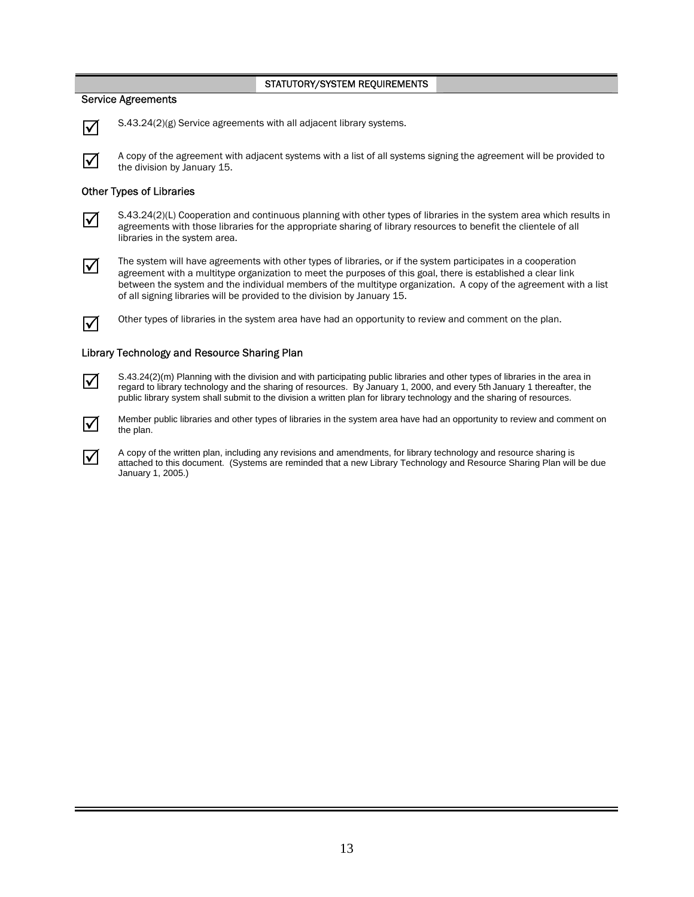### Service Agreements



 $\overline{\mathbf{y}}$  S.43.24(2)(g) Service agreements with all adjacent library systems.



 $\overline{1}$  A copy of the agreement with adjacent systems with a list of all systems signing the agreement will be provided to the division by January 15.

### Other Types of Libraries



S.43.24(2)(L) Cooperation and continuous planning with other types of libraries in the system area which results in agreements with those libraries for the appropriate sharing of library resources to benefit the clientele libraries in the system area.



 $\overline{1}$  The system will have agreements with other types of libraries, or if the system participates in a cooperation agreement with a multitype organization to meet the purposes of this goal, there is established a clear link between the system and the individual members of the multitype organization. A copy of the agreement with a list of all signing libraries will be provided to the division by January 15.



**5** Other types of libraries in the system area have had an opportunity to review and comment on the plan.

### Library Technology and Resource Sharing Plan



S.43.24(2)(m) Planning with the division and with participating public libraries and other types of libraries in the area in regard to library technology and the sharing of resources. By January 1, 2000, and every 5th Janu public library system shall submit to the division a written plan for library technology and the sharing of resources.



Member public libraries and other types of libraries in the system area have had an opportunity to review and comment on<br>
the plan the plan.

A copy of the written plan, including any revisions and amendments, for library technology and resource sharing is attached to this document. (Systems are reminded that a new Library Technology and Resource Sharing Plan will be due January 1, 2005.)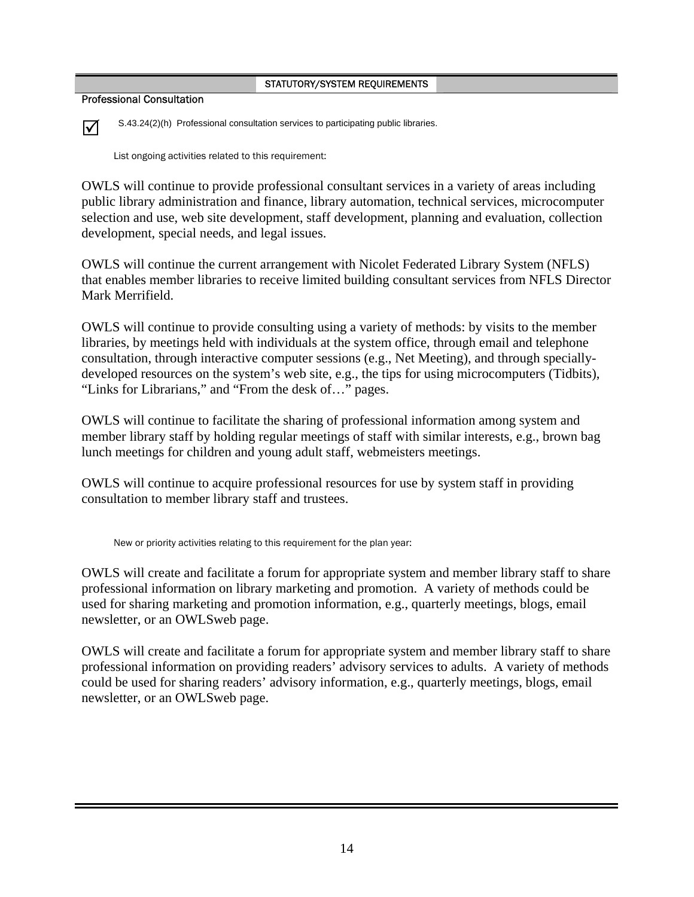Professional Consultation



 $\nabla$  S.43.24(2)(h) Professional consultation services to participating public libraries.

List ongoing activities related to this requirement:

OWLS will continue to provide professional consultant services in a variety of areas including public library administration and finance, library automation, technical services, microcomputer selection and use, web site development, staff development, planning and evaluation, collection development, special needs, and legal issues.

OWLS will continue the current arrangement with Nicolet Federated Library System (NFLS) that enables member libraries to receive limited building consultant services from NFLS Director Mark Merrifield.

OWLS will continue to provide consulting using a variety of methods: by visits to the member libraries, by meetings held with individuals at the system office, through email and telephone consultation, through interactive computer sessions (e.g., Net Meeting), and through speciallydeveloped resources on the system's web site, e.g., the tips for using microcomputers (Tidbits), "Links for Librarians," and "From the desk of…" pages.

OWLS will continue to facilitate the sharing of professional information among system and member library staff by holding regular meetings of staff with similar interests, e.g., brown bag lunch meetings for children and young adult staff, webmeisters meetings.

OWLS will continue to acquire professional resources for use by system staff in providing consultation to member library staff and trustees.

New or priority activities relating to this requirement for the plan year:

OWLS will create and facilitate a forum for appropriate system and member library staff to share professional information on library marketing and promotion. A variety of methods could be used for sharing marketing and promotion information, e.g., quarterly meetings, blogs, email newsletter, or an OWLSweb page.

OWLS will create and facilitate a forum for appropriate system and member library staff to share professional information on providing readers' advisory services to adults. A variety of methods could be used for sharing readers' advisory information, e.g., quarterly meetings, blogs, email newsletter, or an OWLSweb page.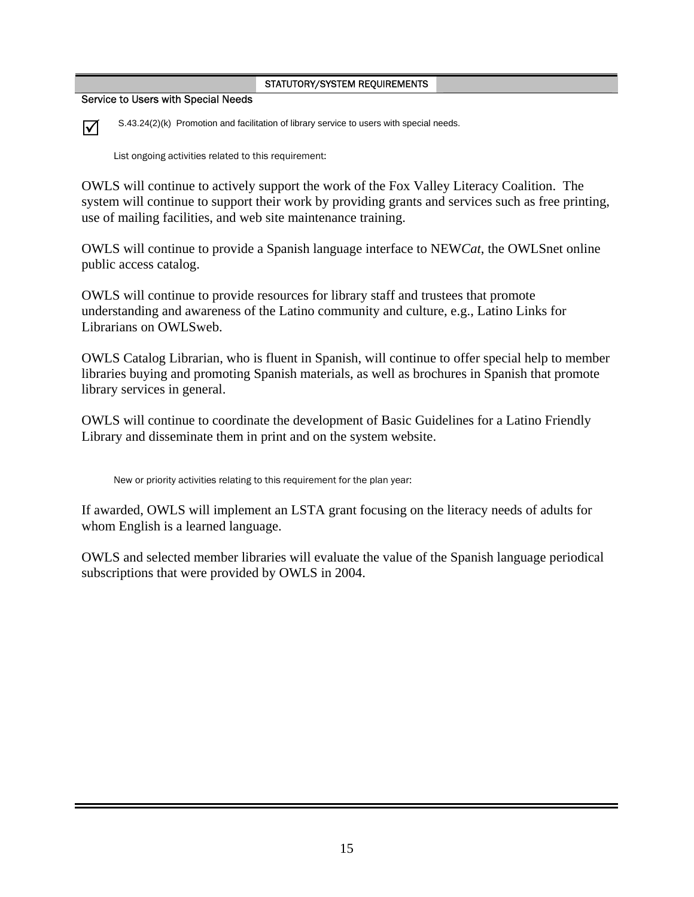Service to Users with Special Needs



 $\vec{v}$  S.43.24(2)(k) Promotion and facilitation of library service to users with special needs.

List ongoing activities related to this requirement:

OWLS will continue to actively support the work of the Fox Valley Literacy Coalition. The system will continue to support their work by providing grants and services such as free printing, use of mailing facilities, and web site maintenance training.

OWLS will continue to provide a Spanish language interface to NEW*Cat*, the OWLSnet online public access catalog.

OWLS will continue to provide resources for library staff and trustees that promote understanding and awareness of the Latino community and culture, e.g., Latino Links for Librarians on OWLSweb.

OWLS Catalog Librarian, who is fluent in Spanish, will continue to offer special help to member libraries buying and promoting Spanish materials, as well as brochures in Spanish that promote library services in general.

OWLS will continue to coordinate the development of Basic Guidelines for a Latino Friendly Library and disseminate them in print and on the system website.

New or priority activities relating to this requirement for the plan year:

If awarded, OWLS will implement an LSTA grant focusing on the literacy needs of adults for whom English is a learned language.

OWLS and selected member libraries will evaluate the value of the Spanish language periodical subscriptions that were provided by OWLS in 2004.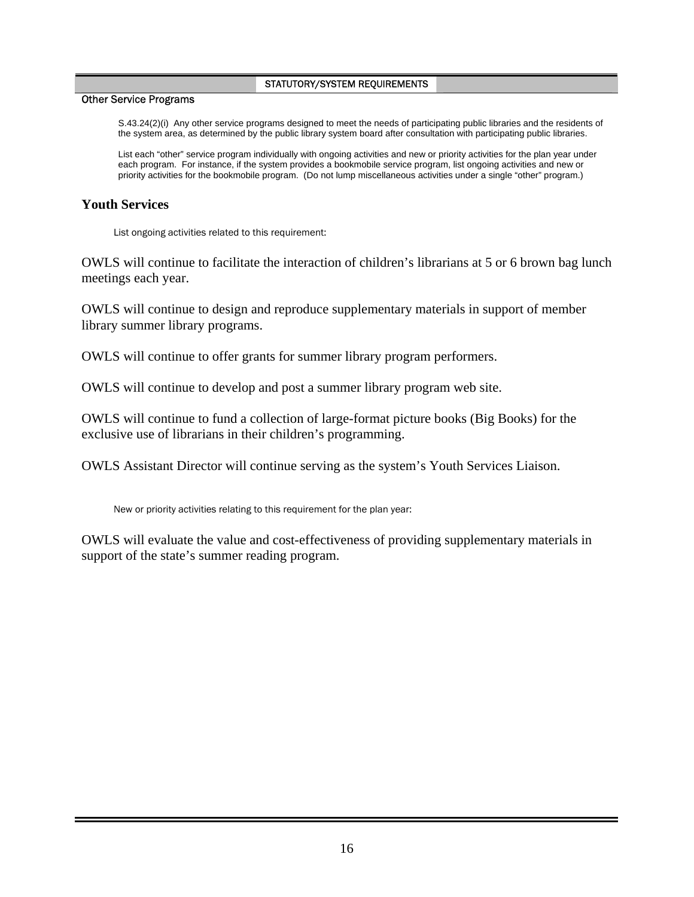### Other Service Programs

S.43.24(2)(i) Any other service programs designed to meet the needs of participating public libraries and the residents of the system area, as determined by the public library system board after consultation with participating public libraries.

List each "other" service program individually with ongoing activities and new or priority activities for the plan year under each program. For instance, if the system provides a bookmobile service program, list ongoing activities and new or priority activities for the bookmobile program. (Do not lump miscellaneous activities under a single "other" program.)

# **Youth Services**

List ongoing activities related to this requirement:

OWLS will continue to facilitate the interaction of children's librarians at 5 or 6 brown bag lunch meetings each year.

OWLS will continue to design and reproduce supplementary materials in support of member library summer library programs.

OWLS will continue to offer grants for summer library program performers.

OWLS will continue to develop and post a summer library program web site.

OWLS will continue to fund a collection of large-format picture books (Big Books) for the exclusive use of librarians in their children's programming.

OWLS Assistant Director will continue serving as the system's Youth Services Liaison.

New or priority activities relating to this requirement for the plan year:

OWLS will evaluate the value and cost-effectiveness of providing supplementary materials in support of the state's summer reading program.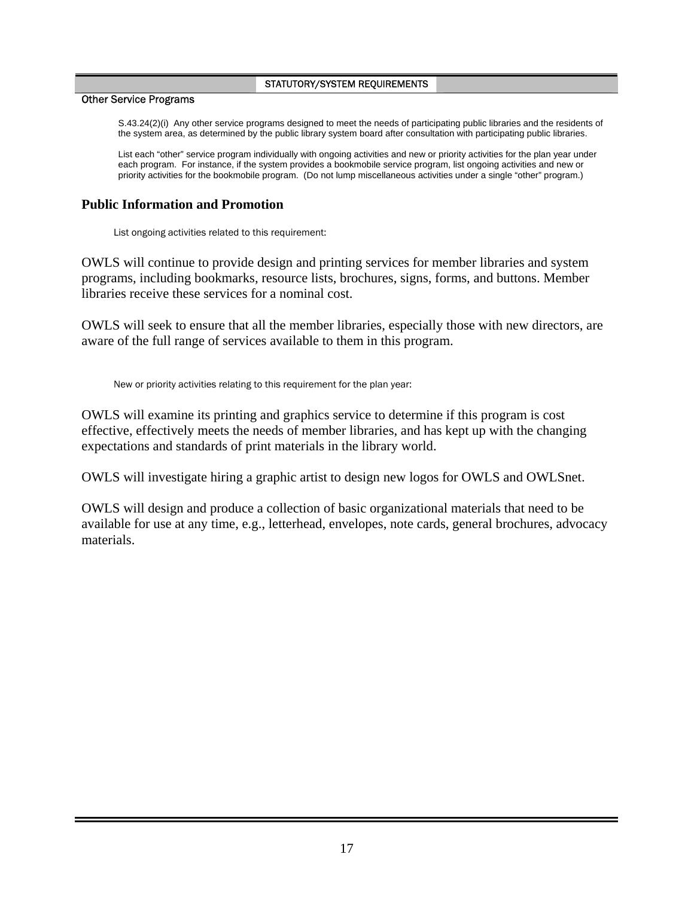### Other Service Programs

S.43.24(2)(i) Any other service programs designed to meet the needs of participating public libraries and the residents of the system area, as determined by the public library system board after consultation with participating public libraries.

List each "other" service program individually with ongoing activities and new or priority activities for the plan year under each program. For instance, if the system provides a bookmobile service program, list ongoing activities and new or priority activities for the bookmobile program. (Do not lump miscellaneous activities under a single "other" program.)

# **Public Information and Promotion**

List ongoing activities related to this requirement:

OWLS will continue to provide design and printing services for member libraries and system programs, including bookmarks, resource lists, brochures, signs, forms, and buttons. Member libraries receive these services for a nominal cost.

OWLS will seek to ensure that all the member libraries, especially those with new directors, are aware of the full range of services available to them in this program.

New or priority activities relating to this requirement for the plan year:

OWLS will examine its printing and graphics service to determine if this program is cost effective, effectively meets the needs of member libraries, and has kept up with the changing expectations and standards of print materials in the library world.

OWLS will investigate hiring a graphic artist to design new logos for OWLS and OWLSnet.

OWLS will design and produce a collection of basic organizational materials that need to be available for use at any time, e.g., letterhead, envelopes, note cards, general brochures, advocacy materials.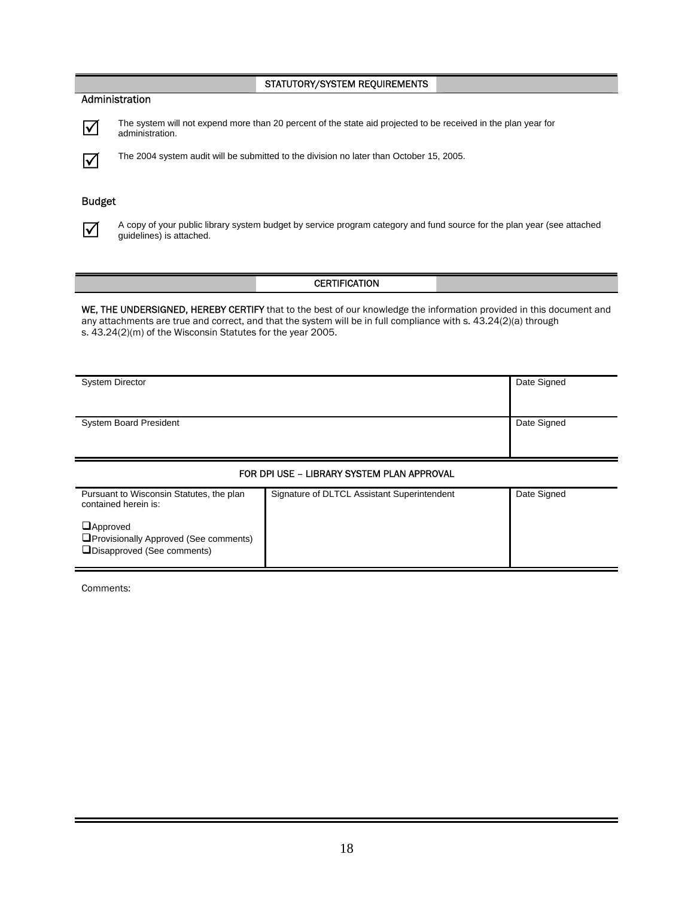### Administration



 $\overline{\mathbf{v}}$  The system will not expend more than 20 percent of the state aid projected to be received in the plan year for administration.



 $\vec{v}$  The 2004 system audit will be submitted to the division no later than October 15, 2005.

### Budget



 $\overline{\bigvee}$  A copy of your public library system budget by service program category and fund source for the plan year (see attached quidelines) is attached guidelines) is attached.

### **CERTIFICATION**

WE, THE UNDERSIGNED, HEREBY CERTIFY that to the best of our knowledge the information provided in this document and any attachments are true and correct, and that the system will be in full compliance with s. 43.24(2)(a) through s. 43.24(2)(m) of the Wisconsin Statutes for the year 2005.

| <b>System Director</b>        | Date Signed |
|-------------------------------|-------------|
| <b>System Board President</b> | Date Signed |

### FOR DPI USE – LIBRARY SYSTEM PLAN APPROVAL

| Pursuant to Wisconsin Statutes, the plan<br>contained herein is:                                | Signature of DLTCL Assistant Superintendent | Date Signed |
|-------------------------------------------------------------------------------------------------|---------------------------------------------|-------------|
| $\Box$ Approved<br><b>O</b> Provisionally Approved (See comments)<br>Disapproved (See comments) |                                             |             |

Comments: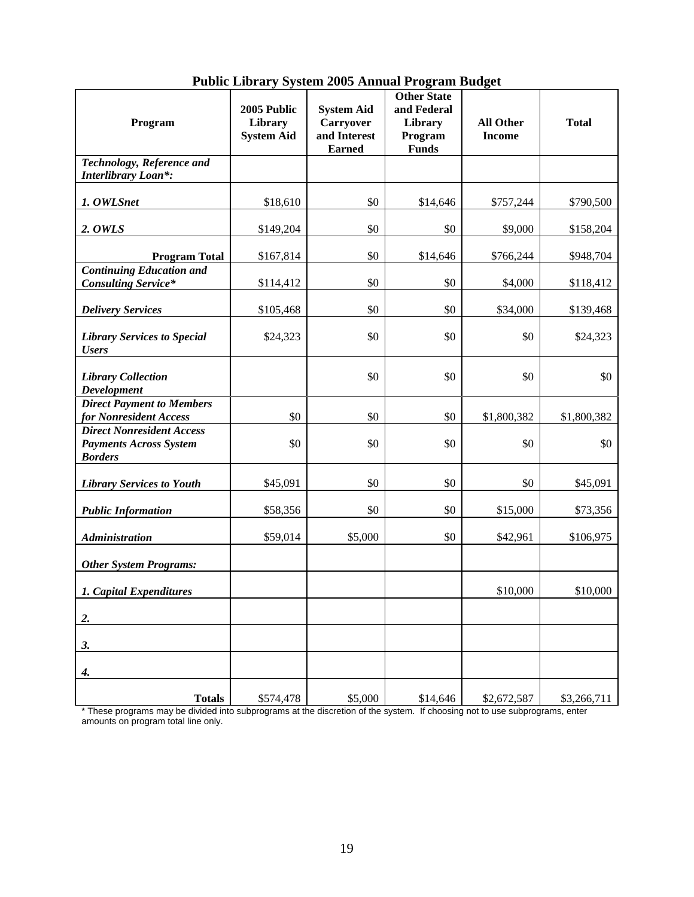| Program                                                                             | 2005 Public<br>Library<br><b>System Aid</b> | <b>System Aid</b><br><b>Carryover</b><br>and Interest | <b>Other State</b><br>and Federal<br>Library<br>Program | <b>All Other</b><br><b>Income</b> | <b>Total</b> |
|-------------------------------------------------------------------------------------|---------------------------------------------|-------------------------------------------------------|---------------------------------------------------------|-----------------------------------|--------------|
|                                                                                     |                                             | <b>Earned</b>                                         | <b>Funds</b>                                            |                                   |              |
| Technology, Reference and<br><b>Interlibrary Loan*:</b>                             |                                             |                                                       |                                                         |                                   |              |
| 1. OWLSnet                                                                          | \$18,610                                    | \$0                                                   | \$14,646                                                | \$757,244                         | \$790,500    |
| 2. OWLS                                                                             | \$149,204                                   | \$0                                                   | \$0                                                     | \$9,000                           | \$158,204    |
| <b>Program Total</b>                                                                | \$167,814                                   | \$0                                                   | \$14,646                                                | \$766,244                         | \$948,704    |
| <b>Continuing Education and</b><br><b>Consulting Service*</b>                       | \$114,412                                   | \$0                                                   | \$0                                                     | \$4,000                           | \$118,412    |
| <b>Delivery Services</b>                                                            | \$105,468                                   | \$0                                                   | \$0                                                     | \$34,000                          | \$139,468    |
| <b>Library Services to Special</b><br><b>Users</b>                                  | \$24,323                                    | \$0                                                   | \$0                                                     | \$0                               | \$24,323     |
| <b>Library Collection</b><br><b>Development</b>                                     |                                             | \$0                                                   | \$0                                                     | \$0                               | \$0          |
| <b>Direct Payment to Members</b><br>for Nonresident Access                          | \$0                                         | \$0                                                   | \$0                                                     | \$1,800,382                       | \$1,800,382  |
| <b>Direct Nonresident Access</b><br><b>Payments Across System</b><br><b>Borders</b> | \$0                                         | \$0                                                   | \$0                                                     | \$0                               | \$0          |
| <b>Library Services to Youth</b>                                                    | \$45,091                                    | \$0                                                   | \$0                                                     | \$0                               | \$45,091     |
| <b>Public Information</b>                                                           | \$58,356                                    | \$0                                                   | \$0                                                     | \$15,000                          | \$73,356     |
| <b>Administration</b>                                                               | \$59,014                                    | \$5,000                                               | \$0                                                     | \$42,961                          | \$106,975    |
| <b>Other System Programs:</b>                                                       |                                             |                                                       |                                                         |                                   |              |
| 1. Capital Expenditures                                                             |                                             |                                                       |                                                         | \$10,000                          | \$10,000     |
| 2.                                                                                  |                                             |                                                       |                                                         |                                   |              |
| 3.                                                                                  |                                             |                                                       |                                                         |                                   |              |
| 4.                                                                                  |                                             |                                                       |                                                         |                                   |              |
| <b>Totals</b>                                                                       | \$574,478                                   | \$5,000                                               | \$14,646                                                | \$2,672,587                       | \$3,266,711  |

# **Public Library System 2005 Annual Program Budget**

\* These programs may be divided into subprograms at the discretion of the system. If choosing not to use subprograms, enter amounts on program total line only.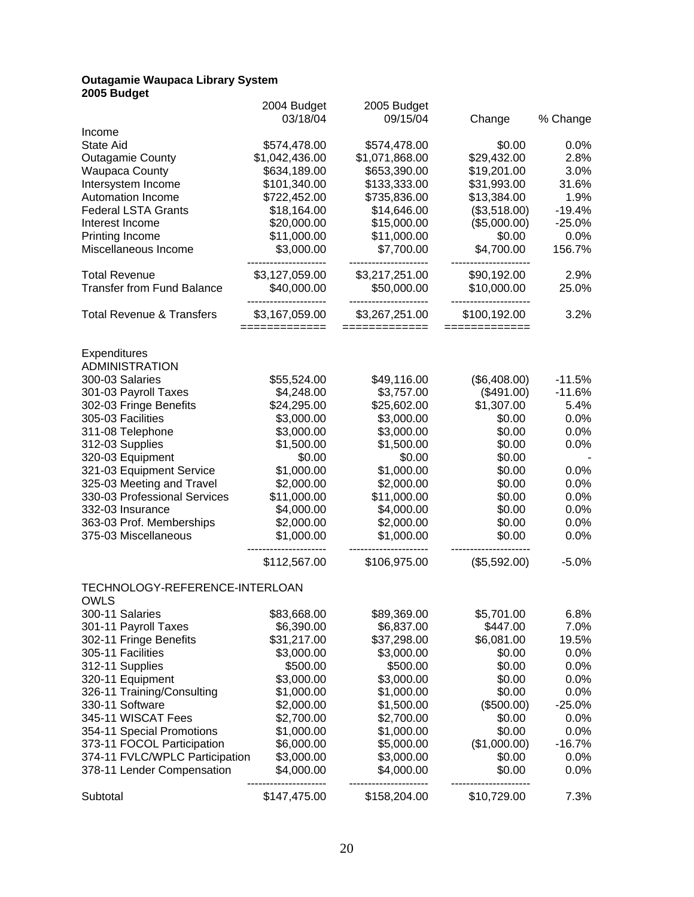#### **Outagamie Waupaca Library System 2005 Budget**

| zvvə paugul                          |                     |                    |                               |          |
|--------------------------------------|---------------------|--------------------|-------------------------------|----------|
|                                      | 2004 Budget         | 2005 Budget        |                               |          |
|                                      | 03/18/04            | 09/15/04           | Change                        | % Change |
| Income                               |                     |                    |                               |          |
| <b>State Aid</b>                     | \$574,478.00        | \$574,478.00       | \$0.00                        | 0.0%     |
| <b>Outagamie County</b>              | \$1,042,436.00      | \$1,071,868.00     | \$29,432.00                   | 2.8%     |
| <b>Waupaca County</b>                | \$634,189.00        | \$653,390.00       | \$19,201.00                   | 3.0%     |
| Intersystem Income                   | \$101,340.00        | \$133,333.00       | \$31,993.00                   | 31.6%    |
| Automation Income                    | \$722,452.00        | \$735,836.00       | \$13,384.00                   | 1.9%     |
| <b>Federal LSTA Grants</b>           | \$18,164.00         | \$14,646.00        | (\$3,518.00)                  | $-19.4%$ |
| Interest Income                      | \$20,000.00         | \$15,000.00        | (\$5,000.00)                  | $-25.0%$ |
| Printing Income                      | \$11,000.00         | \$11,000.00        | \$0.00                        | 0.0%     |
| Miscellaneous Income                 | \$3,000.00          | \$7,700.00         | \$4,700.00                    | 156.7%   |
| <b>Total Revenue</b>                 | \$3,127,059.00      | \$3,217,251.00     | \$90,192.00                   | 2.9%     |
| <b>Transfer from Fund Balance</b>    | \$40,000.00         | \$50,000.00        | \$10,000.00                   | 25.0%    |
| <b>Total Revenue &amp; Transfers</b> | .<br>\$3,167,059.00 | <br>\$3,267,251.00 | -------------<br>\$100,192.00 | 3.2%     |
|                                      | ===========         | =============      | =============                 |          |
| Expenditures                         |                     |                    |                               |          |
| <b>ADMINISTRATION</b>                |                     |                    |                               |          |
| 300-03 Salaries                      | \$55,524.00         | \$49,116.00        | (\$6,408.00)                  | $-11.5%$ |
| 301-03 Payroll Taxes                 | \$4,248.00          | \$3,757.00         | (\$491.00)                    | $-11.6%$ |
| 302-03 Fringe Benefits               | \$24,295.00         | \$25,602.00        | \$1,307.00                    | 5.4%     |
| 305-03 Facilities                    | \$3,000.00          | \$3,000.00         | \$0.00                        | 0.0%     |
| 311-08 Telephone                     | \$3,000.00          | \$3,000.00         | \$0.00                        | 0.0%     |
| 312-03 Supplies                      | \$1,500.00          | \$1,500.00         | \$0.00                        | 0.0%     |
| 320-03 Equipment                     | \$0.00              | \$0.00             | \$0.00                        |          |
| 321-03 Equipment Service             | \$1,000.00          | \$1,000.00         | \$0.00                        | 0.0%     |
| 325-03 Meeting and Travel            | \$2,000.00          | \$2,000.00         | \$0.00                        | 0.0%     |
| 330-03 Professional Services         | \$11,000.00         | \$11,000.00        | \$0.00                        | 0.0%     |
| 332-03 Insurance                     | \$4,000.00          | \$4,000.00         | \$0.00                        | 0.0%     |
| 363-03 Prof. Memberships             | \$2,000.00          | \$2,000.00         | \$0.00                        | 0.0%     |
| 375-03 Miscellaneous                 | \$1,000.00          | \$1,000.00         | \$0.00                        | 0.0%     |
|                                      |                     |                    |                               |          |
|                                      | \$112,567.00        | \$106,975.00       | (\$5,592.00)                  | $-5.0%$  |
| TECHNOLOGY-REFERENCE-INTERLOAN       |                     |                    |                               |          |
| OWLS                                 |                     |                    |                               |          |
| 300-11 Salaries                      | \$83,668.00         | \$89,369.00        | \$5,701.00                    | 6.8%     |
| 301-11 Payroll Taxes                 | \$6,390.00          | \$6,837.00         | \$447.00                      | 7.0%     |
| 302-11 Fringe Benefits               | \$31,217.00         | \$37,298.00        | \$6,081.00                    | 19.5%    |
| 305-11 Facilities                    | \$3,000.00          | \$3,000.00         | \$0.00                        | 0.0%     |
| 312-11 Supplies                      | \$500.00            | \$500.00           | \$0.00                        | 0.0%     |
| 320-11 Equipment                     | \$3,000.00          | \$3,000.00         | \$0.00                        | 0.0%     |
| 326-11 Training/Consulting           | \$1,000.00          | \$1,000.00         | \$0.00                        | 0.0%     |
| 330-11 Software                      | \$2,000.00          | \$1,500.00         | (\$500.00)                    | $-25.0%$ |
| 345-11 WISCAT Fees                   | \$2,700.00          | \$2,700.00         | \$0.00                        | 0.0%     |
| 354-11 Special Promotions            | \$1,000.00          | \$1,000.00         | \$0.00                        | 0.0%     |
| 373-11 FOCOL Participation           | \$6,000.00          | \$5,000.00         | (\$1,000.00)                  | $-16.7%$ |
| 374-11 FVLC/WPLC Participation       | \$3,000.00          | \$3,000.00         | \$0.00                        | 0.0%     |
| 378-11 Lender Compensation           | \$4,000.00          | \$4,000.00         | \$0.00                        | 0.0%     |
| Subtotal                             | \$147,475.00        | \$158,204.00       | \$10,729.00                   | 7.3%     |
|                                      |                     |                    |                               |          |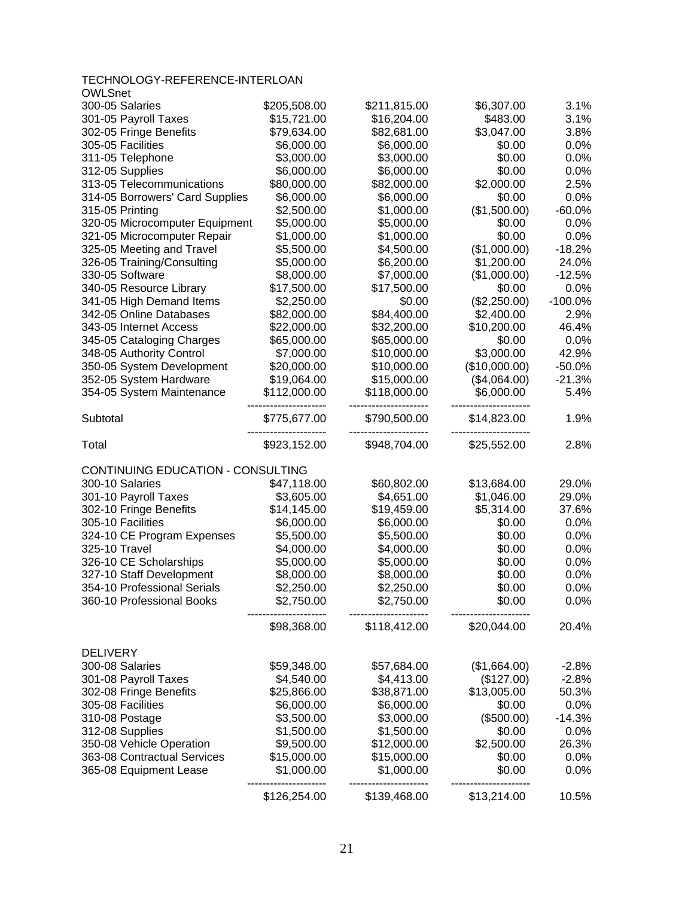| TECHNOLOGY-REFERENCE-INTERLOAN    |              |              |               |           |
|-----------------------------------|--------------|--------------|---------------|-----------|
| <b>OWLSnet</b>                    |              |              |               |           |
| 300-05 Salaries                   | \$205,508.00 | \$211,815.00 | \$6,307.00    | 3.1%      |
| 301-05 Payroll Taxes              | \$15,721.00  | \$16,204.00  | \$483.00      | 3.1%      |
| 302-05 Fringe Benefits            | \$79,634.00  | \$82,681.00  | \$3,047.00    | 3.8%      |
| 305-05 Facilities                 | \$6,000.00   | \$6,000.00   | \$0.00        | 0.0%      |
| 311-05 Telephone                  | \$3,000.00   | \$3,000.00   | \$0.00        | 0.0%      |
| 312-05 Supplies                   | \$6,000.00   | \$6,000.00   | \$0.00        | 0.0%      |
| 313-05 Telecommunications         | \$80,000.00  | \$82,000.00  | \$2,000.00    | 2.5%      |
| 314-05 Borrowers' Card Supplies   | \$6,000.00   | \$6,000.00   | \$0.00        | 0.0%      |
| 315-05 Printing                   | \$2,500.00   | \$1,000.00   | (\$1,500.00)  | $-60.0%$  |
| 320-05 Microcomputer Equipment    | \$5,000.00   | \$5,000.00   | \$0.00        | 0.0%      |
| 321-05 Microcomputer Repair       | \$1,000.00   | \$1,000.00   | \$0.00        | 0.0%      |
| 325-05 Meeting and Travel         | \$5,500.00   | \$4,500.00   | (\$1,000.00)  | $-18.2%$  |
| 326-05 Training/Consulting        | \$5,000.00   | \$6,200.00   | \$1,200.00    | 24.0%     |
| 330-05 Software                   | \$8,000.00   | \$7,000.00   | (\$1,000.00)  | $-12.5%$  |
| 340-05 Resource Library           | \$17,500.00  | \$17,500.00  | \$0.00        | 0.0%      |
| 341-05 High Demand Items          | \$2,250.00   | \$0.00       | (\$2,250.00)  | $-100.0%$ |
| 342-05 Online Databases           | \$82,000.00  | \$84,400.00  | \$2,400.00    | 2.9%      |
| 343-05 Internet Access            | \$22,000.00  | \$32,200.00  | \$10,200.00   | 46.4%     |
| 345-05 Cataloging Charges         | \$65,000.00  | \$65,000.00  | \$0.00        | 0.0%      |
| 348-05 Authority Control          | \$7,000.00   | \$10,000.00  | \$3,000.00    | 42.9%     |
| 350-05 System Development         | \$20,000.00  | \$10,000.00  | (\$10,000.00) | $-50.0%$  |
| 352-05 System Hardware            | \$19,064.00  | \$15,000.00  | (\$4,064.00)  | $-21.3%$  |
| 354-05 System Maintenance         | \$112,000.00 | \$118,000.00 | \$6,000.00    | 5.4%      |
| Subtotal                          | \$775,677.00 | \$790,500.00 | \$14,823.00   | 1.9%      |
| Total                             | \$923,152.00 | \$948,704.00 | \$25,552.00   | 2.8%      |
|                                   |              |              |               |           |
| CONTINUING EDUCATION - CONSULTING |              |              |               |           |
| 300-10 Salaries                   | \$47,118.00  | \$60,802.00  | \$13,684.00   | 29.0%     |
| 301-10 Payroll Taxes              | \$3,605.00   | \$4,651.00   | \$1,046.00    | 29.0%     |
| 302-10 Fringe Benefits            | \$14,145.00  | \$19,459.00  | \$5,314.00    | 37.6%     |
| 305-10 Facilities                 | \$6,000.00   | \$6,000.00   | \$0.00        | 0.0%      |
| 324-10 CE Program Expenses        | \$5,500.00   | \$5,500.00   | \$0.00        | 0.0%      |
| 325-10 Travel                     | \$4,000.00   | \$4,000.00   | \$0.00        | 0.0%      |
| 326-10 CE Scholarships            | \$5,000.00   | \$5,000.00   | \$0.00        | 0.0%      |
| 327-10 Staff Development          | \$8,000.00   | \$8,000.00   | \$0.00        | 0.0%      |
| 354-10 Professional Serials       | \$2,250.00   | \$2,250.00   | \$0.00        | $0.0\%$   |
| 360-10 Professional Books         | \$2,750.00   | \$2,750.00   | \$0.00        | 0.0%      |
|                                   | \$98,368.00  | \$118,412.00 | \$20,044.00   | 20.4%     |
| <b>DELIVERY</b>                   |              |              |               |           |
| 300-08 Salaries                   | \$59,348.00  | \$57,684.00  | (\$1,664.00)  | $-2.8%$   |
| 301-08 Payroll Taxes              | \$4,540.00   | \$4,413.00   | (\$127.00)    | $-2.8%$   |
| 302-08 Fringe Benefits            | \$25,866.00  | \$38,871.00  | \$13,005.00   | 50.3%     |
| 305-08 Facilities                 | \$6,000.00   | \$6,000.00   | \$0.00        | 0.0%      |
| 310-08 Postage                    | \$3,500.00   | \$3,000.00   | (\$500.00)    | $-14.3%$  |
| 312-08 Supplies                   | \$1,500.00   | \$1,500.00   | \$0.00        | 0.0%      |
| 350-08 Vehicle Operation          | \$9,500.00   | \$12,000.00  | \$2,500.00    | 26.3%     |
| 363-08 Contractual Services       | \$15,000.00  | \$15,000.00  | \$0.00        | 0.0%      |
| 365-08 Equipment Lease            | \$1,000.00   | \$1,000.00   | \$0.00        | 0.0%      |
|                                   | \$126,254.00 | \$139,468.00 | \$13,214.00   | 10.5%     |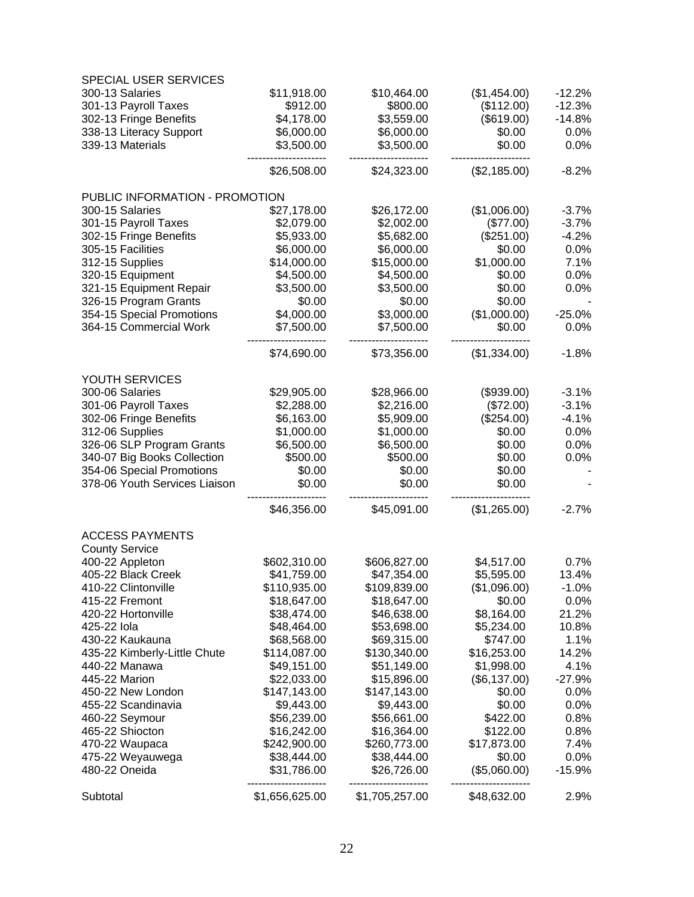| SPECIAL USER SERVICES          |                |                |              |          |
|--------------------------------|----------------|----------------|--------------|----------|
| 300-13 Salaries                | \$11,918.00    | \$10,464.00    | (\$1,454.00) | $-12.2%$ |
| 301-13 Payroll Taxes           | \$912.00       | \$800.00       | (\$112.00)   | $-12.3%$ |
| 302-13 Fringe Benefits         | \$4,178.00     | \$3,559.00     | (\$619.00)   | $-14.8%$ |
| 338-13 Literacy Support        | \$6,000.00     | \$6,000.00     | \$0.00       | 0.0%     |
| 339-13 Materials               | \$3,500.00     | \$3,500.00     | \$0.00       | 0.0%     |
|                                | \$26,508.00    | \$24,323.00    | (\$2,185.00) | $-8.2%$  |
| PUBLIC INFORMATION - PROMOTION |                |                |              |          |
| 300-15 Salaries                | \$27,178.00    | \$26,172.00    | (\$1,006.00) | $-3.7%$  |
| 301-15 Payroll Taxes           | \$2,079.00     | \$2,002.00     | (\$77.00)    | $-3.7%$  |
| 302-15 Fringe Benefits         | \$5,933.00     | \$5,682.00     | (\$251.00)   | $-4.2%$  |
| 305-15 Facilities              | \$6,000.00     | \$6,000.00     | \$0.00       | 0.0%     |
| 312-15 Supplies                | \$14,000.00    | \$15,000.00    | \$1,000.00   | 7.1%     |
| 320-15 Equipment               | \$4,500.00     | \$4,500.00     | \$0.00       | 0.0%     |
| 321-15 Equipment Repair        | \$3,500.00     | \$3,500.00     | \$0.00       | 0.0%     |
| 326-15 Program Grants          | \$0.00         | \$0.00         | \$0.00       |          |
| 354-15 Special Promotions      | \$4,000.00     | \$3,000.00     | (\$1,000.00) | $-25.0%$ |
| 364-15 Commercial Work         | \$7,500.00     | \$7,500.00     | \$0.00       | 0.0%     |
|                                | \$74,690.00    | \$73,356.00    | (\$1,334.00) | $-1.8%$  |
| YOUTH SERVICES                 |                |                |              |          |
| 300-06 Salaries                | \$29,905.00    | \$28,966.00    | (\$939.00)   | $-3.1%$  |
| 301-06 Payroll Taxes           | \$2,288.00     | \$2,216.00     | (\$72.00)    | $-3.1%$  |
| 302-06 Fringe Benefits         | \$6,163.00     | \$5,909.00     | (\$254.00)   | $-4.1%$  |
| 312-06 Supplies                | \$1,000.00     | \$1,000.00     | \$0.00       | 0.0%     |
| 326-06 SLP Program Grants      | \$6,500.00     | \$6,500.00     | \$0.00       | 0.0%     |
| 340-07 Big Books Collection    | \$500.00       | \$500.00       | \$0.00       | 0.0%     |
| 354-06 Special Promotions      | \$0.00         | \$0.00         | \$0.00       |          |
| 378-06 Youth Services Liaison  | \$0.00         | \$0.00         | \$0.00       |          |
|                                | \$46,356.00    | \$45,091.00    | (\$1,265.00) | $-2.7%$  |
| <b>ACCESS PAYMENTS</b>         |                |                |              |          |
| <b>County Service</b>          |                |                |              |          |
| 400-22 Appleton                | \$602,310.00   | \$606,827.00   | \$4,517.00   | 0.7%     |
| 405-22 Black Creek             | \$41,759.00    | \$47,354.00    | \$5,595.00   | 13.4%    |
| 410-22 Clintonville            | \$110,935.00   | \$109,839.00   | (\$1,096.00) | $-1.0%$  |
| 415-22 Fremont                 | \$18,647.00    | \$18,647.00    | \$0.00       | 0.0%     |
| 420-22 Hortonville             | \$38,474.00    | \$46,638.00    | \$8,164.00   | 21.2%    |
| 425-22 lola                    | \$48,464.00    | \$53,698.00    | \$5,234.00   | 10.8%    |
| 430-22 Kaukauna                | \$68,568.00    | \$69,315.00    | \$747.00     | 1.1%     |
| 435-22 Kimberly-Little Chute   | \$114,087.00   | \$130,340.00   | \$16,253.00  | 14.2%    |
| 440-22 Manawa                  | \$49,151.00    | \$51,149.00    | \$1,998.00   | 4.1%     |
| 445-22 Marion                  | \$22,033.00    | \$15,896.00    | (\$6,137.00) | $-27.9%$ |
| 450-22 New London              | \$147,143.00   | \$147,143.00   | \$0.00       | 0.0%     |
| 455-22 Scandinavia             | \$9,443.00     | \$9,443.00     | \$0.00       | 0.0%     |
| 460-22 Seymour                 | \$56,239.00    | \$56,661.00    | \$422.00     | 0.8%     |
| 465-22 Shiocton                | \$16,242.00    | \$16,364.00    | \$122.00     | 0.8%     |
| 470-22 Waupaca                 | \$242,900.00   | \$260,773.00   | \$17,873.00  | 7.4%     |
| 475-22 Weyauwega               | \$38,444.00    | \$38,444.00    | \$0.00       | 0.0%     |
| 480-22 Oneida                  | \$31,786.00    | \$26,726.00    | (\$5,060.00) | $-15.9%$ |
| Subtotal                       | \$1,656,625.00 | \$1,705,257.00 | \$48,632.00  | 2.9%     |